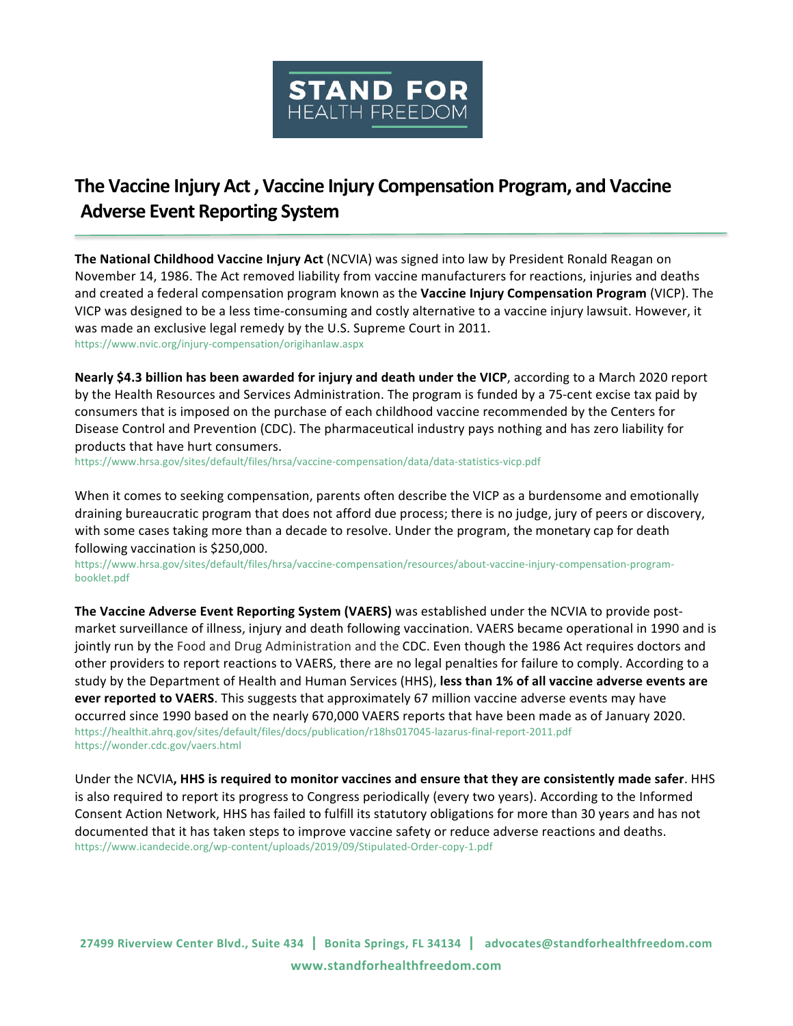

## **The Vaccine Injury Act, Vaccine Injury Compensation Program, and Vaccine Adverse Event Reporting System**

**The National Childhood Vaccine Injury Act** (NCVIA) was signed into law by President Ronald Reagan on November 14, 1986. The Act removed liability from vaccine manufacturers for reactions, injuries and deaths and created a federal compensation program known as the **Vaccine Injury Compensation Program** (VICP). The VICP was designed to be a less time-consuming and costly alternative to a vaccine injury lawsuit. However, it was made an exclusive legal remedy by the U.S. Supreme Court in 2011. https://www.nvic.org/injury-compensation/origihanlaw.aspx

**Nearly \$4.3 billion has been awarded for injury and death under the VICP, according to a March 2020 report** by the Health Resources and Services Administration. The program is funded by a 75-cent excise tax paid by consumers that is imposed on the purchase of each childhood vaccine recommended by the Centers for Disease Control and Prevention (CDC). The pharmaceutical industry pays nothing and has zero liability for products that have hurt consumers.

https://www.hrsa.gov/sites/default/files/hrsa/vaccine-compensation/data/data-statistics-vicp.pdf

When it comes to seeking compensation, parents often describe the VICP as a burdensome and emotionally draining bureaucratic program that does not afford due process; there is no judge, jury of peers or discovery, with some cases taking more than a decade to resolve. Under the program, the monetary cap for death following vaccination is \$250,000.

https://www.hrsa.gov/sites/default/files/hrsa/vaccine-compensation/resources/about-vaccine-injury-compensation-programbooklet.pdf

The Vaccine Adverse Event Reporting System (VAERS) was established under the NCVIA to provide postmarket surveillance of illness, injury and death following vaccination. VAERS became operational in 1990 and is jointly run by the Food and Drug Administration and the CDC. Even though the 1986 Act requires doctors and other providers to report reactions to VAERS, there are no legal penalties for failure to comply. According to a study by the Department of Health and Human Services (HHS), less than 1% of all vaccine adverse events are ever reported to VAERS. This suggests that approximately 67 million vaccine adverse events may have occurred since 1990 based on the nearly 670,000 VAERS reports that have been made as of January 2020. https://healthit.ahrq.gov/sites/default/files/docs/publication/r18hs017045-lazarus-final-report-2011.pdf https://wonder.cdc.gov/vaers.html

Under the NCVIA, HHS is required to monitor vaccines and ensure that they are consistently made safer. HHS is also required to report its progress to Congress periodically (every two years). According to the Informed Consent Action Network, HHS has failed to fulfill its statutory obligations for more than 30 years and has not documented that it has taken steps to improve vaccine safety or reduce adverse reactions and deaths. https://www.icandecide.org/wp-content/uploads/2019/09/Stipulated-Order-copy-1.pdf